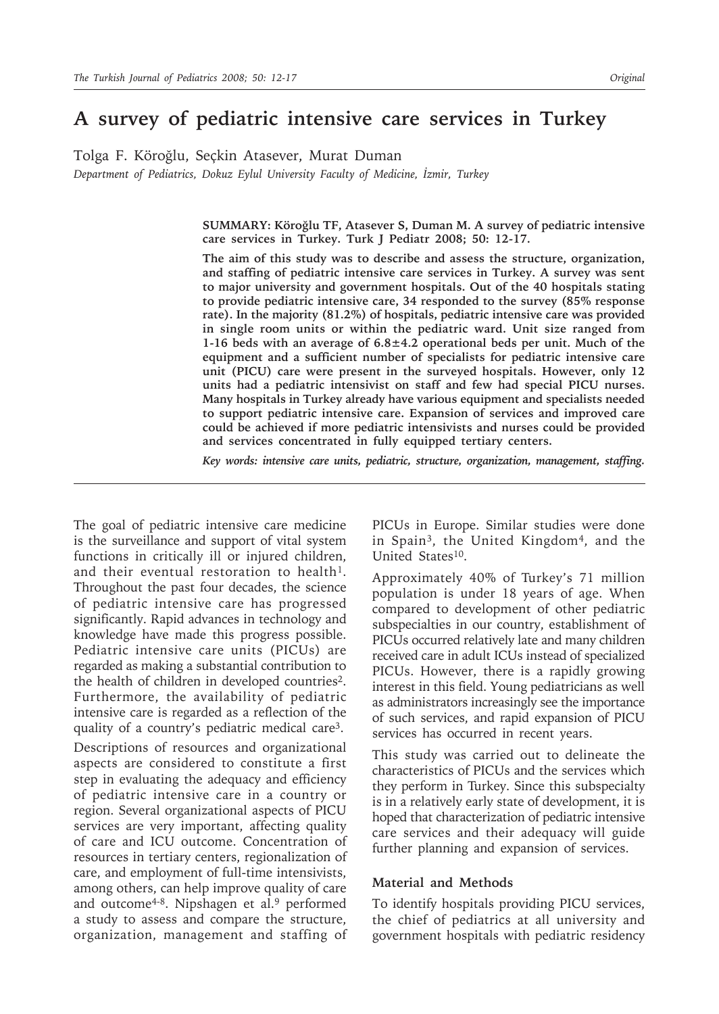Tolga F. Köroğlu, Seçkin Atasever, Murat Duman *Department of Pediatrics, Dokuz Eylul University Faculty of Medicine, İzmir, Turkey*

> **SUMMARY: Köroğlu TF, Atasever S, Duman M. A survey of pediatric intensive care services in Turkey. Turk J Pediatr 2008; 50: 12-17.**

> **The aim of this study was to describe and assess the structure, organization, and staffing of pediatric intensive care services in Turkey. A survey was sent to major university and government hospitals. Out of the 40 hospitals stating to provide pediatric intensive care, 34 responded to the survey (85% response rate). In the majority (81.2%) of hospitals, pediatric intensive care was provided in single room units or within the pediatric ward. Unit size ranged from 1-16 beds with an average of 6.8±4.2 operational beds per unit. Much of the equipment and a sufficient number of specialists for pediatric intensive care unit (PICU) care were present in the surveyed hospitals. However, only 12 units had a pediatric intensivist on staff and few had special PICU nurses. Many hospitals in Turkey already have various equipment and specialists needed to support pediatric intensive care. Expansion of services and improved care could be achieved if more pediatric intensivists and nurses could be provided and services concentrated in fully equipped tertiary centers.**

> *Key words: intensive care units, pediatric, structure, organization, management, staffing.*

The goal of pediatric intensive care medicine is the surveillance and support of vital system functions in critically ill or injured children, and their eventual restoration to health<sup>1</sup>. Throughout the past four decades, the science of pediatric intensive care has progressed significantly. Rapid advances in technology and knowledge have made this progress possible. Pediatric intensive care units (PICUs) are regarded as making a substantial contribution to the health of children in developed countries2. Furthermore, the availability of pediatric intensive care is regarded as a reflection of the quality of a country's pediatric medical care3.

Descriptions of resources and organizational aspects are considered to constitute a first step in evaluating the adequacy and efficiency of pediatric intensive care in a country or region. Several organizational aspects of PICU services are very important, affecting quality of care and ICU outcome. Concentration of resources in tertiary centers, regionalization of care, and employment of full-time intensivists, among others, can help improve quality of care and outcome<sup>4-8</sup>. Nipshagen et al.<sup>9</sup> performed a study to assess and compare the structure, organization, management and staffing of PICUs in Europe. Similar studies were done in Spain3, the United Kingdom4, and the United States<sup>10</sup>.

Approximately 40% of Turkey's 71 million population is under 18 years of age. When compared to development of other pediatric subspecialties in our country, establishment of PICUs occurred relatively late and many children received care in adult ICUs instead of specialized PICUs. However, there is a rapidly growing interest in this field. Young pediatricians as well as administrators increasingly see the importance of such services, and rapid expansion of PICU services has occurred in recent years.

This study was carried out to delineate the characteristics of PICUs and the services which they perform in Turkey. Since this subspecialty is in a relatively early state of development, it is hoped that characterization of pediatric intensive care services and their adequacy will guide further planning and expansion of services.

#### **Material and Methods**

To identify hospitals providing PICU services, the chief of pediatrics at all university and government hospitals with pediatric residency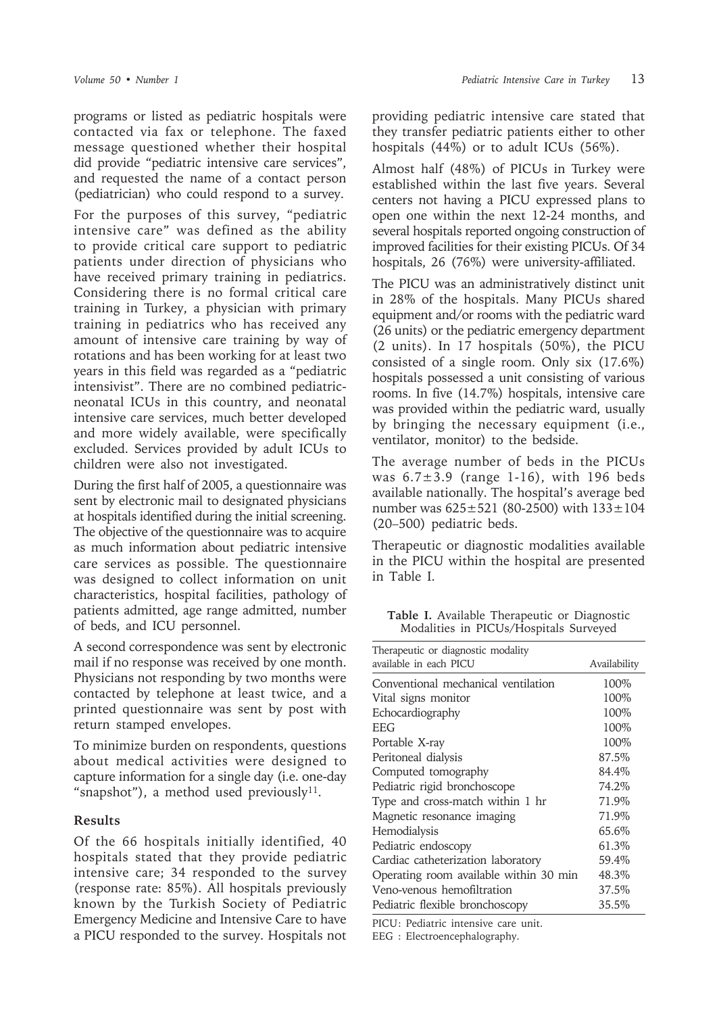programs or listed as pediatric hospitals were contacted via fax or telephone. The faxed message questioned whether their hospital did provide "pediatric intensive care services", and requested the name of a contact person (pediatrician) who could respond to a survey.

For the purposes of this survey, "pediatric intensive care" was defined as the ability to provide critical care support to pediatric patients under direction of physicians who have received primary training in pediatrics. Considering there is no formal critical care training in Turkey, a physician with primary training in pediatrics who has received any amount of intensive care training by way of rotations and has been working for at least two years in this field was regarded as a "pediatric intensivist". There are no combined pediatricneonatal ICUs in this country, and neonatal intensive care services, much better developed and more widely available, were specifically excluded. Services provided by adult ICUs to children were also not investigated.

During the first half of 2005, a questionnaire was sent by electronic mail to designated physicians at hospitals identified during the initial screening. The objective of the questionnaire was to acquire as much information about pediatric intensive care services as possible. The questionnaire was designed to collect information on unit characteristics, hospital facilities, pathology of patients admitted, age range admitted, number of beds, and ICU personnel.

A second correspondence was sent by electronic mail if no response was received by one month. Physicians not responding by two months were contacted by telephone at least twice, and a printed questionnaire was sent by post with return stamped envelopes.

To minimize burden on respondents, questions about medical activities were designed to capture information for a single day (i.e. one-day "snapshot"), a method used previously $11$ .

## **Results**

Of the 66 hospitals initially identified, 40 hospitals stated that they provide pediatric intensive care; 34 responded to the survey (response rate: 85%). All hospitals previously known by the Turkish Society of Pediatric Emergency Medicine and Intensive Care to have a PICU responded to the survey. Hospitals not

providing pediatric intensive care stated that they transfer pediatric patients either to other hospitals (44%) or to adult ICUs (56%).

Almost half (48%) of PICUs in Turkey were established within the last five years. Several centers not having a PICU expressed plans to open one within the next 12-24 months, and several hospitals reported ongoing construction of improved facilities for their existing PICUs. Of 34 hospitals, 26 (76%) were university-affiliated.

The PICU was an administratively distinct unit in 28% of the hospitals. Many PICUs shared equipment and/or rooms with the pediatric ward (26 units) or the pediatric emergency department (2 units). In 17 hospitals (50%), the PICU consisted of a single room. Only six (17.6%) hospitals possessed a unit consisting of various rooms. In five (14.7%) hospitals, intensive care was provided within the pediatric ward, usually by bringing the necessary equipment (i.e., ventilator, monitor) to the bedside.

The average number of beds in the PICUs was  $6.7\pm3.9$  (range 1-16), with 196 beds available nationally. The hospital's average bed number was 625±521 (80-2500) with 133±104 (20–500) pediatric beds.

Therapeutic or diagnostic modalities available in the PICU within the hospital are presented in Table I.

**Table I.** Available Therapeutic or Diagnostic Modalities in PICUs/Hospitals Surveyed

| Therapeutic or diagnostic modality<br>available in each PICU | Availability |  |  |  |
|--------------------------------------------------------------|--------------|--|--|--|
| Conventional mechanical ventilation                          | 100%         |  |  |  |
| Vital signs monitor                                          | 100\%        |  |  |  |
| Echocardiography                                             | 100%         |  |  |  |
| <b>EFG</b>                                                   | 100\%        |  |  |  |
| Portable X-ray                                               | 100%         |  |  |  |
| Peritoneal dialysis                                          | 87.5%        |  |  |  |
| Computed tomography                                          | 84.4%        |  |  |  |
| Pediatric rigid bronchoscope                                 | 74.2%        |  |  |  |
| Type and cross-match within 1 hr                             | 71.9%        |  |  |  |
| Magnetic resonance imaging                                   | 71.9%        |  |  |  |
| Hemodialysis                                                 | 65.6%        |  |  |  |
| Pediatric endoscopy                                          | 61.3%        |  |  |  |
| Cardiac catheterization laboratory                           | 59.4%        |  |  |  |
| Operating room available within 30 min                       | 48.3%        |  |  |  |
| Veno-venous hemofiltration                                   | 37.5%        |  |  |  |
| Pediatric flexible bronchoscopy                              | 35.5%        |  |  |  |

PICU: Pediatric intensive care unit.

EEG : Electroencephalography.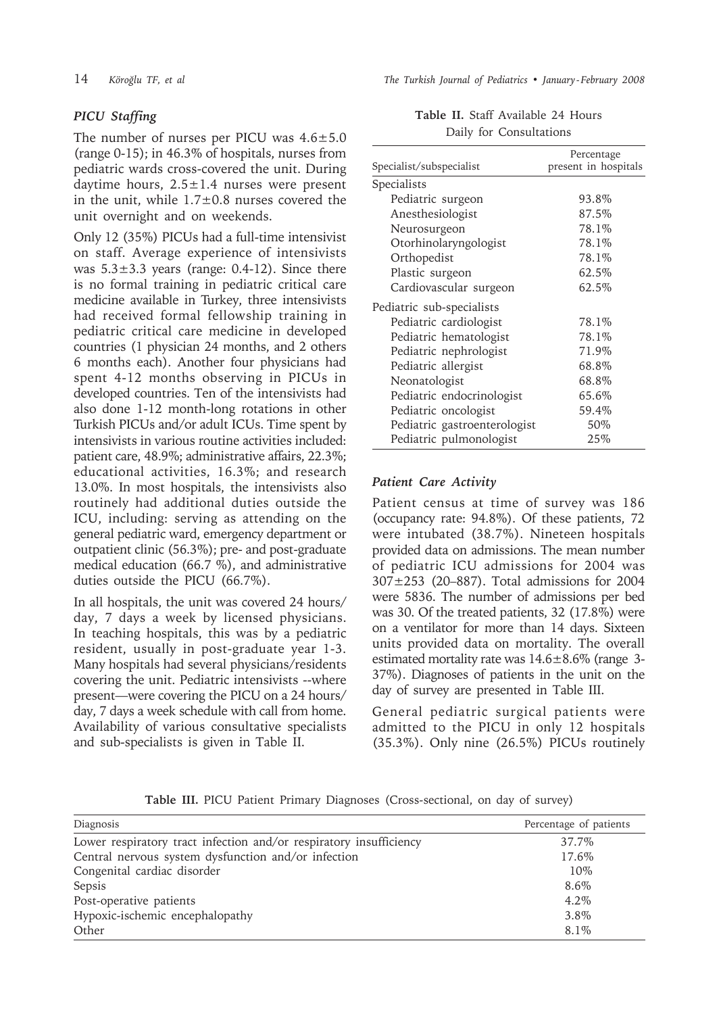# *PICU Staffing*

The number of nurses per PICU was  $4.6 \pm 5.0$ (range 0-15); in 46.3% of hospitals, nurses from pediatric wards cross-covered the unit. During daytime hours,  $2.5 \pm 1.4$  nurses were present in the unit, while  $1.7\pm0.8$  nurses covered the unit overnight and on weekends.

Only 12 (35%) PICUs had a full-time intensivist on staff. Average experience of intensivists was  $5.3\pm3.3$  years (range: 0.4-12). Since there is no formal training in pediatric critical care medicine available in Turkey, three intensivists had received formal fellowship training in pediatric critical care medicine in developed countries (1 physician 24 months, and 2 others 6 months each). Another four physicians had spent 4-12 months observing in PICUs in developed countries. Ten of the intensivists had also done 1-12 month-long rotations in other Turkish PICUs and/or adult ICUs. Time spent by intensivists in various routine activities included: patient care, 48.9%; administrative affairs, 22.3%; educational activities, 16.3%; and research 13.0%. In most hospitals, the intensivists also routinely had additional duties outside the ICU, including: serving as attending on the general pediatric ward, emergency department or outpatient clinic (56.3%); pre- and post-graduate medical education (66.7 %), and administrative duties outside the PICU (66.7%).

In all hospitals, the unit was covered 24 hours/ day, 7 days a week by licensed physicians. In teaching hospitals, this was by a pediatric resident, usually in post-graduate year 1-3. Many hospitals had several physicians/residents covering the unit. Pediatric intensivists --where present—were covering the PICU on a 24 hours/ day, 7 days a week schedule with call from home. Availability of various consultative specialists and sub-specialists is given in Table II.

14 *Köroğlu TF, et al The Turkish Journal of Pediatrics • January - February 2008*

|  | Table II. Staff Available 24 Hours |  |
|--|------------------------------------|--|
|  | Daily for Consultations            |  |

| Specialist/subspecialist     | Percentage<br>present in hospitals |
|------------------------------|------------------------------------|
|                              |                                    |
| Specialists                  |                                    |
| Pediatric surgeon            | 93.8%                              |
| Anesthesiologist             | 87.5%                              |
| Neurosurgeon                 | 78.1%                              |
| Otorhinolaryngologist        | 78.1%                              |
| Orthopedist                  | 78.1%                              |
| Plastic surgeon              | 62.5%                              |
| Cardiovascular surgeon       | 62.5%                              |
| Pediatric sub-specialists    |                                    |
| Pediatric cardiologist       | 78.1%                              |
| Pediatric hematologist       | 78.1%                              |
| Pediatric nephrologist       | 71.9%                              |
| Pediatric allergist          | 68.8%                              |
| Neonatologist                | 68.8%                              |
| Pediatric endocrinologist    | 65.6%                              |
| Pediatric oncologist         | 59.4%                              |
| Pediatric gastroenterologist | 50%                                |
| Pediatric pulmonologist      | 25%                                |

### *Patient Care Activity*

Patient census at time of survey was 186 (occupancy rate: 94.8%). Of these patients, 72 were intubated (38.7%). Nineteen hospitals provided data on admissions. The mean number of pediatric ICU admissions for 2004 was 307±253 (20–887). Total admissions for 2004 were 5836. The number of admissions per bed was 30. Of the treated patients, 32 (17.8%) were on a ventilator for more than 14 days. Sixteen units provided data on mortality. The overall estimated mortality rate was 14.6±8.6% (range 3- 37%). Diagnoses of patients in the unit on the day of survey are presented in Table III.

General pediatric surgical patients were admitted to the PICU in only 12 hospitals (35.3%). Only nine (26.5%) PICUs routinely

|  |  |  |  |  |  | Table III. PICU Patient Primary Diagnoses (Cross-sectional, on day of survey) |  |  |  |  |
|--|--|--|--|--|--|-------------------------------------------------------------------------------|--|--|--|--|
|--|--|--|--|--|--|-------------------------------------------------------------------------------|--|--|--|--|

| Diagnosis                                                          | Percentage of patients |
|--------------------------------------------------------------------|------------------------|
| Lower respiratory tract infection and/or respiratory insufficiency | 37.7%                  |
| Central nervous system dysfunction and/or infection                | 17.6%                  |
| Congenital cardiac disorder                                        | 10%                    |
| Sepsis                                                             | 8.6%                   |
| Post-operative patients                                            | $4.2\%$                |
| Hypoxic-ischemic encephalopathy                                    | 3.8%                   |
| Other                                                              | 8.1%                   |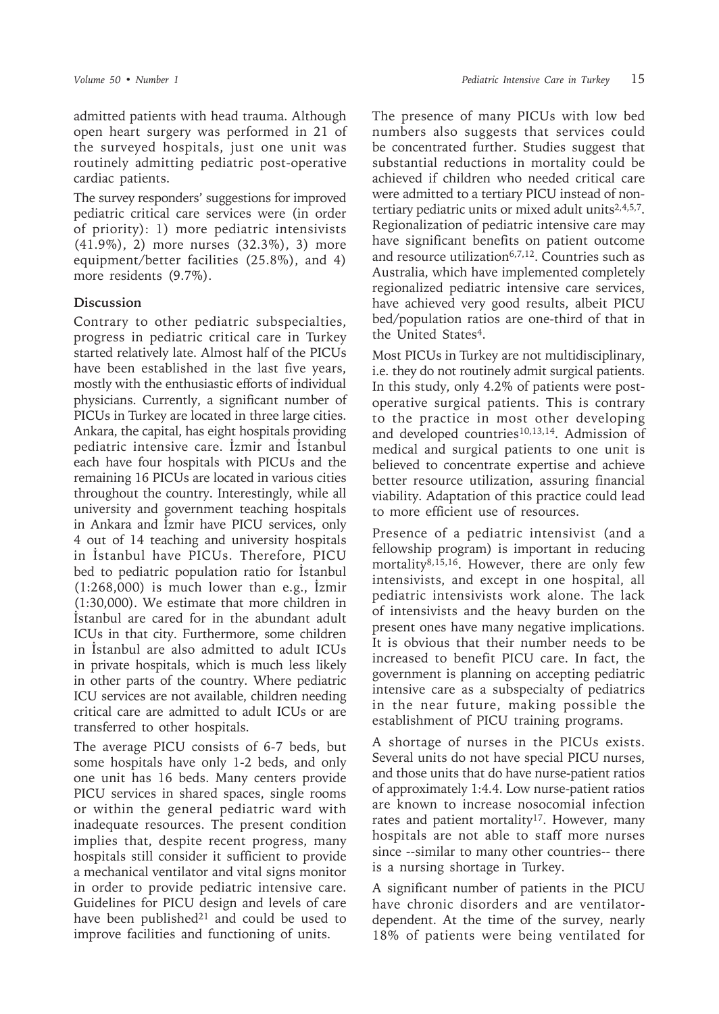admitted patients with head trauma. Although open heart surgery was performed in 21 of the surveyed hospitals, just one unit was routinely admitting pediatric post-operative cardiac patients.

The survey responders' suggestions for improved pediatric critical care services were (in order of priority): 1) more pediatric intensivists (41.9%), 2) more nurses (32.3%), 3) more equipment/better facilities (25.8%), and 4) more residents (9.7%).

# **Discussion**

Contrary to other pediatric subspecialties, progress in pediatric critical care in Turkey started relatively late. Almost half of the PICUs have been established in the last five years, mostly with the enthusiastic efforts of individual physicians. Currently, a significant number of PICUs in Turkey are located in three large cities. Ankara, the capital, has eight hospitals providing pediatric intensive care. İzmir and İstanbul each have four hospitals with PICUs and the remaining 16 PICUs are located in various cities throughout the country. Interestingly, while all university and government teaching hospitals in Ankara and İzmir have PICU services, only 4 out of 14 teaching and university hospitals in İstanbul have PICUs. Therefore, PICU bed to pediatric population ratio for İstanbul (1:268,000) is much lower than e.g., İzmir (1:30,000). We estimate that more children in İstanbul are cared for in the abundant adult ICUs in that city. Furthermore, some children in İstanbul are also admitted to adult ICUs in private hospitals, which is much less likely in other parts of the country. Where pediatric ICU services are not available, children needing critical care are admitted to adult ICUs or are transferred to other hospitals.

The average PICU consists of 6-7 beds, but some hospitals have only 1-2 beds, and only one unit has 16 beds. Many centers provide PICU services in shared spaces, single rooms or within the general pediatric ward with inadequate resources. The present condition implies that, despite recent progress, many hospitals still consider it sufficient to provide a mechanical ventilator and vital signs monitor in order to provide pediatric intensive care. Guidelines for PICU design and levels of care have been published $21$  and could be used to improve facilities and functioning of units.

The presence of many PICUs with low bed numbers also suggests that services could be concentrated further. Studies suggest that substantial reductions in mortality could be achieved if children who needed critical care were admitted to a tertiary PICU instead of nontertiary pediatric units or mixed adult units<sup>2,4,5,7</sup>. Regionalization of pediatric intensive care may have significant benefits on patient outcome and resource utilization<sup>6,7,12</sup>. Countries such as Australia, which have implemented completely regionalized pediatric intensive care services, have achieved very good results, albeit PICU bed/population ratios are one-third of that in the United States<sup>4</sup>.

Most PICUs in Turkey are not multidisciplinary, i.e. they do not routinely admit surgical patients. In this study, only 4.2% of patients were postoperative surgical patients. This is contrary to the practice in most other developing and developed countries<sup>10,13,14</sup>. Admission of medical and surgical patients to one unit is believed to concentrate expertise and achieve better resource utilization, assuring financial viability. Adaptation of this practice could lead to more efficient use of resources.

Presence of a pediatric intensivist (and a fellowship program) is important in reducing mortality<sup>8,15,16</sup>. However, there are only few intensivists, and except in one hospital, all pediatric intensivists work alone. The lack of intensivists and the heavy burden on the present ones have many negative implications. It is obvious that their number needs to be increased to benefit PICU care. In fact, the government is planning on accepting pediatric intensive care as a subspecialty of pediatrics in the near future, making possible the establishment of PICU training programs.

A shortage of nurses in the PICUs exists. Several units do not have special PICU nurses, and those units that do have nurse-patient ratios of approximately 1:4.4. Low nurse-patient ratios are known to increase nosocomial infection rates and patient mortality<sup>17</sup>. However, many hospitals are not able to staff more nurses since --similar to many other countries-- there is a nursing shortage in Turkey.

A significant number of patients in the PICU have chronic disorders and are ventilatordependent. At the time of the survey, nearly 18% of patients were being ventilated for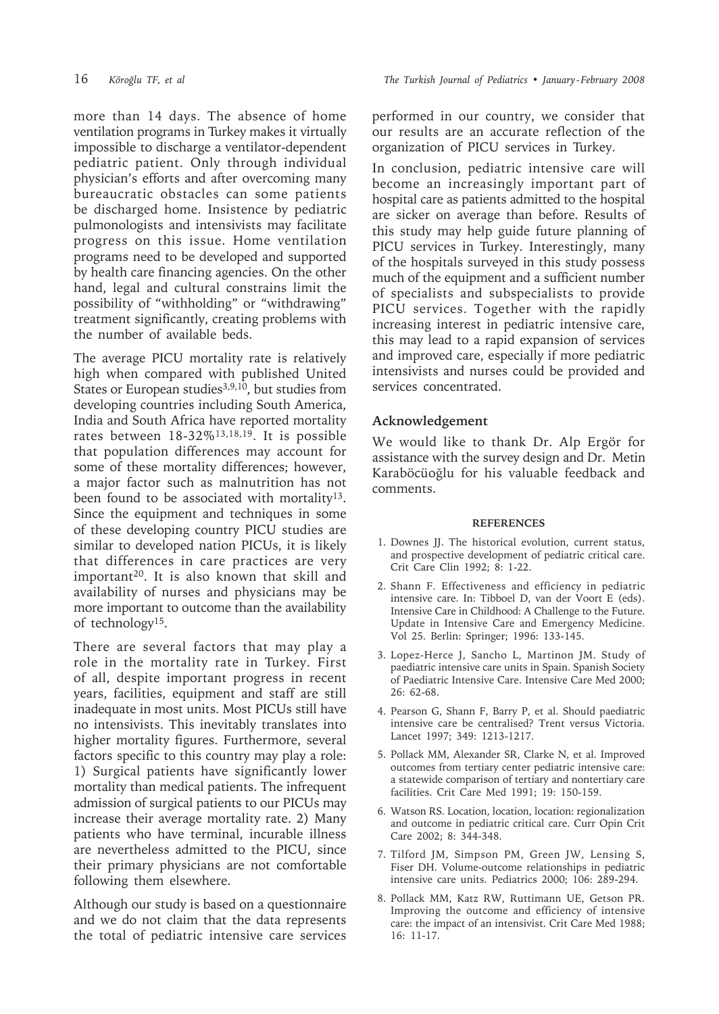more than 14 days. The absence of home ventilation programs in Turkey makes it virtually impossible to discharge a ventilator-dependent pediatric patient. Only through individual physician's efforts and after overcoming many bureaucratic obstacles can some patients be discharged home. Insistence by pediatric pulmonologists and intensivists may facilitate progress on this issue. Home ventilation programs need to be developed and supported by health care financing agencies. On the other hand, legal and cultural constrains limit the possibility of "withholding" or "withdrawing" treatment significantly, creating problems with the number of available beds.

The average PICU mortality rate is relatively high when compared with published United States or European studies<sup>3,9,10</sup>, but studies from developing countries including South America, India and South Africa have reported mortality rates between 18-32%13,18,19. It is possible that population differences may account for some of these mortality differences; however, a major factor such as malnutrition has not been found to be associated with mortality<sup>13</sup>. Since the equipment and techniques in some of these developing country PICU studies are similar to developed nation PICUs, it is likely that differences in care practices are very important20. It is also known that skill and availability of nurses and physicians may be more important to outcome than the availability of technology15.

There are several factors that may play a role in the mortality rate in Turkey. First of all, despite important progress in recent years, facilities, equipment and staff are still inadequate in most units. Most PICUs still have no intensivists. This inevitably translates into higher mortality figures. Furthermore, several factors specific to this country may play a role: 1) Surgical patients have significantly lower mortality than medical patients. The infrequent admission of surgical patients to our PICUs may increase their average mortality rate. 2) Many patients who have terminal, incurable illness are nevertheless admitted to the PICU, since their primary physicians are not comfortable following them elsewhere.

Although our study is based on a questionnaire and we do not claim that the data represents the total of pediatric intensive care services

performed in our country, we consider that our results are an accurate reflection of the organization of PICU services in Turkey.

In conclusion, pediatric intensive care will become an increasingly important part of hospital care as patients admitted to the hospital are sicker on average than before. Results of this study may help guide future planning of PICU services in Turkey. Interestingly, many of the hospitals surveyed in this study possess much of the equipment and a sufficient number of specialists and subspecialists to provide PICU services. Together with the rapidly increasing interest in pediatric intensive care, this may lead to a rapid expansion of services and improved care, especially if more pediatric intensivists and nurses could be provided and services concentrated.

# **Acknowledgement**

We would like to thank Dr. Alp Ergör for assistance with the survey design and Dr. Metin Karaböcüoğlu for his valuable feedback and comments.

#### **REFERENCES**

- 1. Downes JJ. The historical evolution, current status, and prospective development of pediatric critical care. Crit Care Clin 1992; 8: 1-22.
- 2. Shann F. Effectiveness and efficiency in pediatric intensive care. In: Tibboel D, van der Voort E (eds). Intensive Care in Childhood: A Challenge to the Future. Update in Intensive Care and Emergency Medicine. Vol 25. Berlin: Springer; 1996: 133-145.
- 3. Lopez-Herce J, Sancho L, Martinon JM. Study of paediatric intensive care units in Spain. Spanish Society of Paediatric Intensive Care. Intensive Care Med 2000; 26: 62-68.
- 4. Pearson G, Shann F, Barry P, et al. Should paediatric intensive care be centralised? Trent versus Victoria. Lancet 1997; 349: 1213-1217.
- 5. Pollack MM, Alexander SR, Clarke N, et al. Improved outcomes from tertiary center pediatric intensive care: a statewide comparison of tertiary and nontertiary care facilities. Crit Care Med 1991; 19: 150-159.
- 6. Watson RS. Location, location, location: regionalization and outcome in pediatric critical care. Curr Opin Crit Care 2002; 8: 344-348.
- 7. Tilford JM, Simpson PM, Green JW, Lensing S, Fiser DH. Volume-outcome relationships in pediatric intensive care units. Pediatrics 2000; 106: 289-294.
- 8. Pollack MM, Katz RW, Ruttimann UE, Getson PR. Improving the outcome and efficiency of intensive care: the impact of an intensivist. Crit Care Med 1988; 16: 11-17.